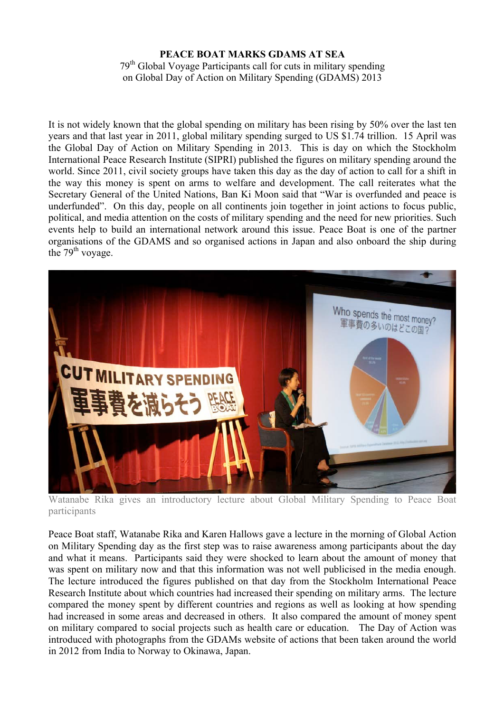## **PEACE BOAT MARKS GDAMS AT SEA**

79th Global Voyage Participants call for cuts in military spending on Global Day of Action on Military Spending (GDAMS) 2013

It is not widely known that the global spending on military has been rising by 50% over the last ten years and that last year in 2011, global military spending surged to US \$1.74 trillion. 15 April was the Global Day of Action on Military Spending in 2013. This is day on which the Stockholm International Peace Research Institute (SIPRI) published the figures on military spending around the world. Since 2011, civil society groups have taken this day as the day of action to call for a shift in the way this money is spent on arms to welfare and development. The call reiterates what the Secretary General of the United Nations, Ban Ki Moon said that "War is overfunded and peace is underfunded". On this day, people on all continents join together in joint actions to focus public, political, and media attention on the costs of military spending and the need for new priorities. Such events help to build an international network around this issue. Peace Boat is one of the partner organisations of the GDAMS and so organised actions in Japan and also onboard the ship during the  $79<sup>th</sup>$  voyage.



Watanabe Rika gives an introductory lecture about Global Military Spending to Peace Boat participants

Peace Boat staff, Watanabe Rika and Karen Hallows gave a lecture in the morning of Global Action on Military Spending day as the first step was to raise awareness among participants about the day and what it means. Participants said they were shocked to learn about the amount of money that was spent on military now and that this information was not well publicised in the media enough. The lecture introduced the figures published on that day from the Stockholm International Peace Research Institute about which countries had increased their spending on military arms. The lecture compared the money spent by different countries and regions as well as looking at how spending had increased in some areas and decreased in others. It also compared the amount of money spent on military compared to social projects such as health care or education. The Day of Action was introduced with photographs from the GDAMs website of actions that been taken around the world in 2012 from India to Norway to Okinawa, Japan.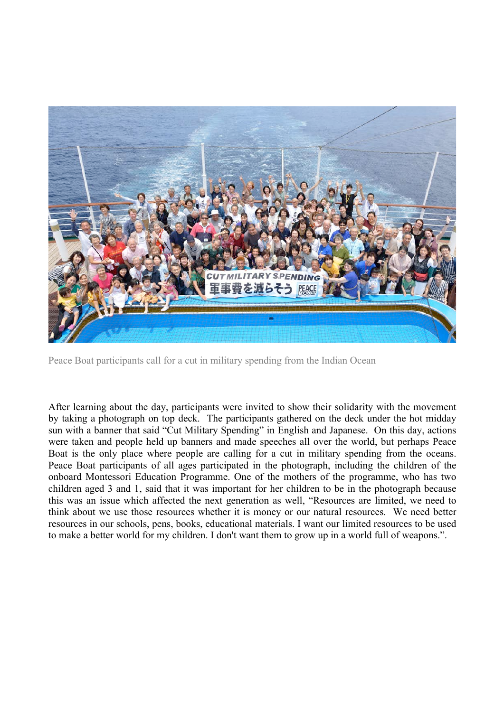

Peace Boat participants call for a cut in military spending from the Indian Ocean

After learning about the day, participants were invited to show their solidarity with the movement by taking a photograph on top deck. The participants gathered on the deck under the hot midday sun with a banner that said "Cut Military Spending" in English and Japanese. On this day, actions were taken and people held up banners and made speeches all over the world, but perhaps Peace Boat is the only place where people are calling for a cut in military spending from the oceans. Peace Boat participants of all ages participated in the photograph, including the children of the onboard Montessori Education Programme. One of the mothers of the programme, who has two children aged 3 and 1, said that it was important for her children to be in the photograph because this was an issue which affected the next generation as well, "Resources are limited, we need to think about we use those resources whether it is money or our natural resources. We need better resources in our schools, pens, books, educational materials. I want our limited resources to be used to make a better world for my children. I don't want them to grow up in a world full of weapons.".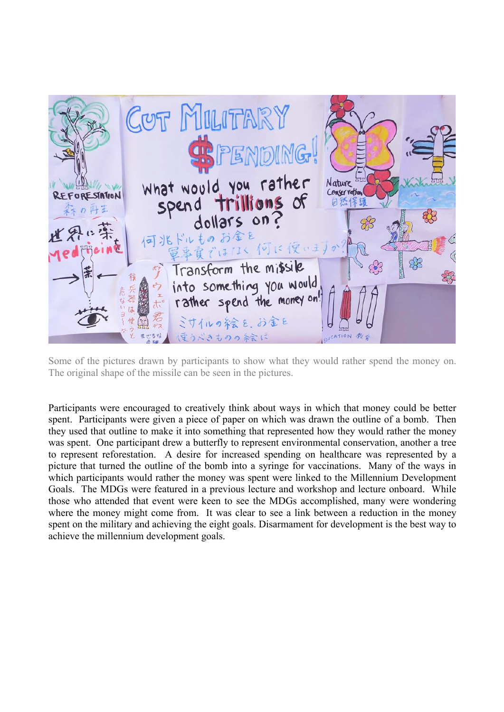

Some of the pictures drawn by participants to show what they would rather spend the money on. The original shape of the missile can be seen in the pictures.

Participants were encouraged to creatively think about ways in which that money could be better spent. Participants were given a piece of paper on which was drawn the outline of a bomb. Then they used that outline to make it into something that represented how they would rather the money was spent. One participant drew a butterfly to represent environmental conservation, another a tree to represent reforestation. A desire for increased spending on healthcare was represented by a picture that turned the outline of the bomb into a syringe for vaccinations. Many of the ways in which participants would rather the money was spent were linked to the Millennium Development Goals. The MDGs were featured in a previous lecture and workshop and lecture onboard. While those who attended that event were keen to see the MDGs accomplished, many were wondering where the money might come from. It was clear to see a link between a reduction in the money spent on the military and achieving the eight goals. Disarmament for development is the best way to achieve the millennium development goals.